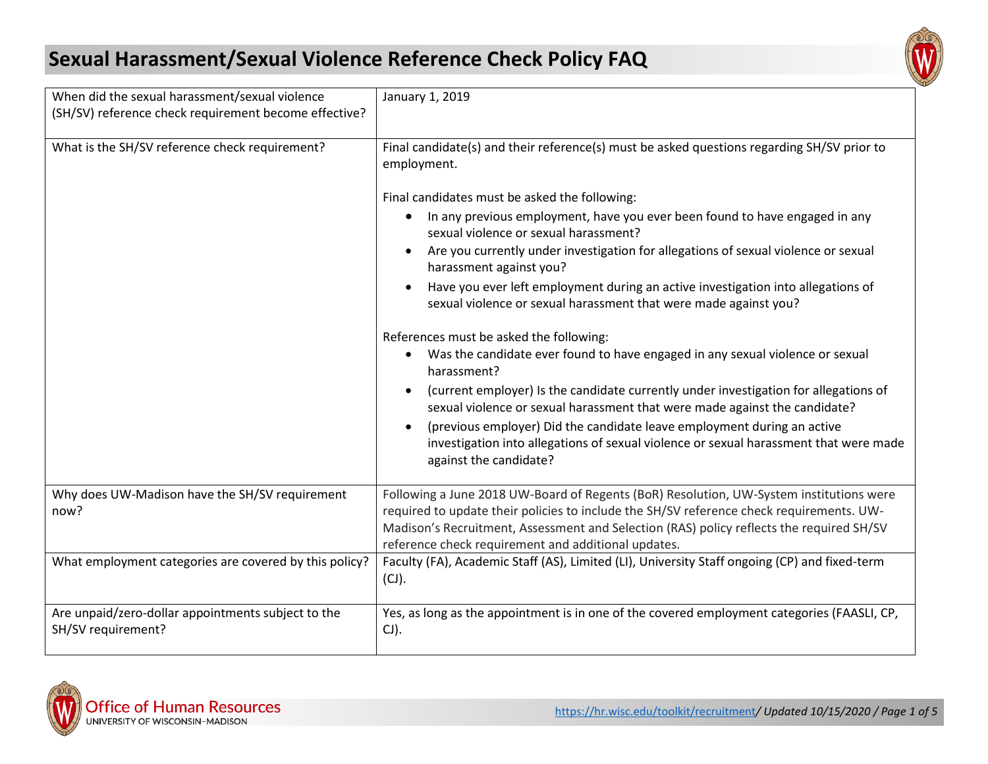## **Sexual Harassment/Sexual Violence Reference Check Policy FAQ**



| When did the sexual harassment/sexual violence<br>(SH/SV) reference check requirement become effective? | January 1, 2019                                                                                                                                                                                                                                                                                                                        |  |
|---------------------------------------------------------------------------------------------------------|----------------------------------------------------------------------------------------------------------------------------------------------------------------------------------------------------------------------------------------------------------------------------------------------------------------------------------------|--|
| What is the SH/SV reference check requirement?                                                          | Final candidate(s) and their reference(s) must be asked questions regarding SH/SV prior to<br>employment.                                                                                                                                                                                                                              |  |
|                                                                                                         | Final candidates must be asked the following:                                                                                                                                                                                                                                                                                          |  |
|                                                                                                         | In any previous employment, have you ever been found to have engaged in any<br>sexual violence or sexual harassment?                                                                                                                                                                                                                   |  |
|                                                                                                         | Are you currently under investigation for allegations of sexual violence or sexual<br>harassment against you?                                                                                                                                                                                                                          |  |
|                                                                                                         | Have you ever left employment during an active investigation into allegations of<br>$\bullet$<br>sexual violence or sexual harassment that were made against you?                                                                                                                                                                      |  |
|                                                                                                         | References must be asked the following:                                                                                                                                                                                                                                                                                                |  |
|                                                                                                         | Was the candidate ever found to have engaged in any sexual violence or sexual<br>$\bullet$<br>harassment?                                                                                                                                                                                                                              |  |
|                                                                                                         | (current employer) Is the candidate currently under investigation for allegations of<br>sexual violence or sexual harassment that were made against the candidate?                                                                                                                                                                     |  |
|                                                                                                         | (previous employer) Did the candidate leave employment during an active<br>investigation into allegations of sexual violence or sexual harassment that were made<br>against the candidate?                                                                                                                                             |  |
| Why does UW-Madison have the SH/SV requirement<br>now?                                                  | Following a June 2018 UW-Board of Regents (BoR) Resolution, UW-System institutions were<br>required to update their policies to include the SH/SV reference check requirements. UW-<br>Madison's Recruitment, Assessment and Selection (RAS) policy reflects the required SH/SV<br>reference check requirement and additional updates. |  |
| What employment categories are covered by this policy?                                                  | Faculty (FA), Academic Staff (AS), Limited (LI), University Staff ongoing (CP) and fixed-term<br>(CJ).                                                                                                                                                                                                                                 |  |
| Are unpaid/zero-dollar appointments subject to the<br>SH/SV requirement?                                | Yes, as long as the appointment is in one of the covered employment categories (FAASLI, CP,<br>$\mathsf{CJ}$ ).                                                                                                                                                                                                                        |  |

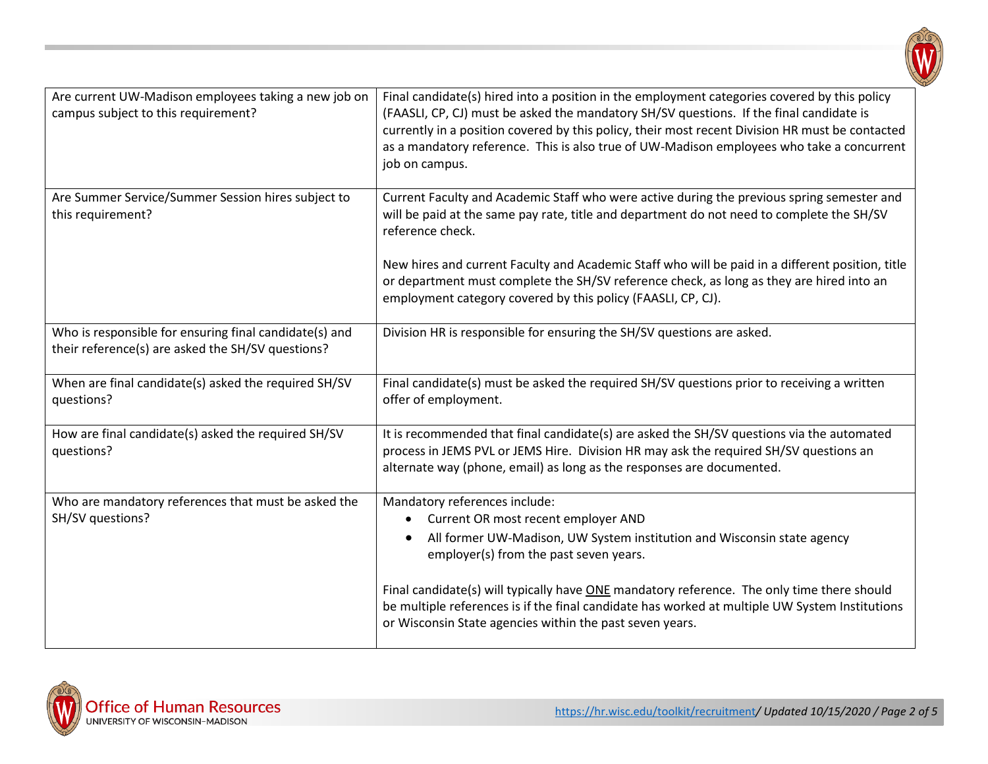

| Are current UW-Madison employees taking a new job on<br>campus subject to this requirement?                 | Final candidate(s) hired into a position in the employment categories covered by this policy<br>(FAASLI, CP, CJ) must be asked the mandatory SH/SV questions. If the final candidate is<br>currently in a position covered by this policy, their most recent Division HR must be contacted<br>as a mandatory reference. This is also true of UW-Madison employees who take a concurrent<br>job on campus. |
|-------------------------------------------------------------------------------------------------------------|-----------------------------------------------------------------------------------------------------------------------------------------------------------------------------------------------------------------------------------------------------------------------------------------------------------------------------------------------------------------------------------------------------------|
| Are Summer Service/Summer Session hires subject to<br>this requirement?                                     | Current Faculty and Academic Staff who were active during the previous spring semester and<br>will be paid at the same pay rate, title and department do not need to complete the SH/SV<br>reference check.                                                                                                                                                                                               |
|                                                                                                             | New hires and current Faculty and Academic Staff who will be paid in a different position, title<br>or department must complete the SH/SV reference check, as long as they are hired into an<br>employment category covered by this policy (FAASLI, CP, CJ).                                                                                                                                              |
| Who is responsible for ensuring final candidate(s) and<br>their reference(s) are asked the SH/SV questions? | Division HR is responsible for ensuring the SH/SV questions are asked.                                                                                                                                                                                                                                                                                                                                    |
| When are final candidate(s) asked the required SH/SV<br>questions?                                          | Final candidate(s) must be asked the required SH/SV questions prior to receiving a written<br>offer of employment.                                                                                                                                                                                                                                                                                        |
| How are final candidate(s) asked the required SH/SV<br>questions?                                           | It is recommended that final candidate(s) are asked the SH/SV questions via the automated<br>process in JEMS PVL or JEMS Hire. Division HR may ask the required SH/SV questions an<br>alternate way (phone, email) as long as the responses are documented.                                                                                                                                               |
| Who are mandatory references that must be asked the<br>SH/SV questions?                                     | Mandatory references include:<br>Current OR most recent employer AND<br>All former UW-Madison, UW System institution and Wisconsin state agency<br>employer(s) from the past seven years.                                                                                                                                                                                                                 |
|                                                                                                             | Final candidate(s) will typically have ONE mandatory reference. The only time there should<br>be multiple references is if the final candidate has worked at multiple UW System Institutions<br>or Wisconsin State agencies within the past seven years.                                                                                                                                                  |

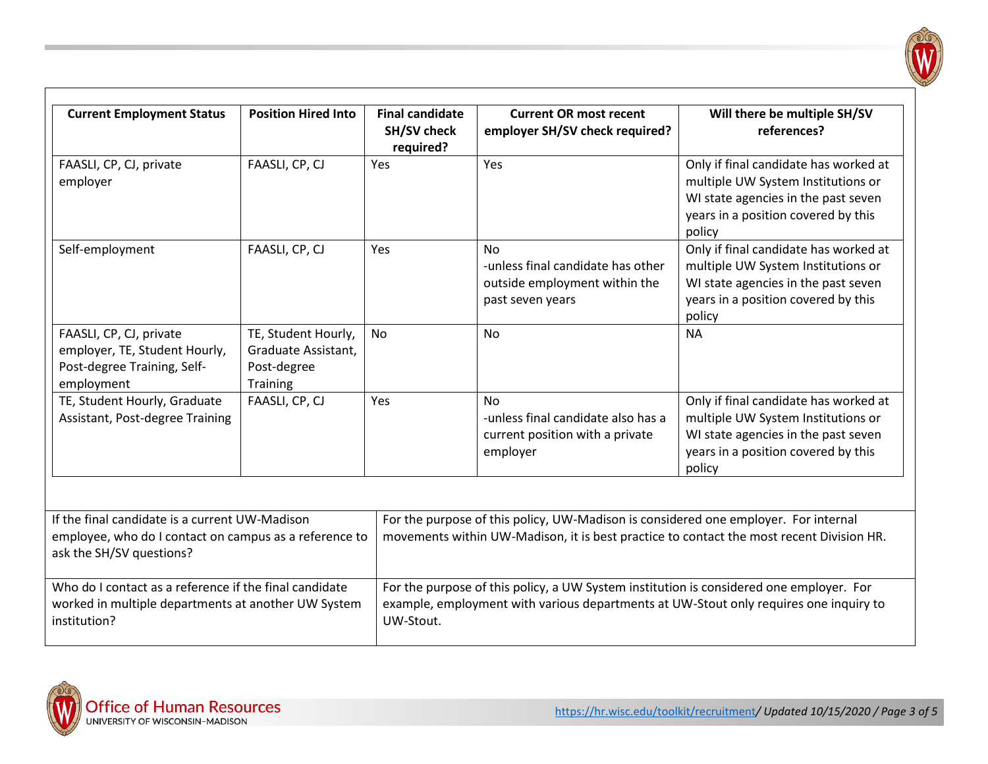| <b>Current Employment Status</b>                                                                                                     | <b>Position Hired Into</b>                                            | <b>Final candidate</b><br><b>SH/SV check</b><br>required? | <b>Current OR most recent</b><br>employer SH/SV check required?                                                                                                                  | Will there be multiple SH/SV<br>references?                                                                                                                         |  |
|--------------------------------------------------------------------------------------------------------------------------------------|-----------------------------------------------------------------------|-----------------------------------------------------------|----------------------------------------------------------------------------------------------------------------------------------------------------------------------------------|---------------------------------------------------------------------------------------------------------------------------------------------------------------------|--|
| FAASLI, CP, CJ, private<br>employer                                                                                                  | FAASLI, CP, CJ                                                        | Yes                                                       | Yes                                                                                                                                                                              | Only if final candidate has worked at<br>multiple UW System Institutions or<br>WI state agencies in the past seven<br>years in a position covered by this<br>policy |  |
| Self-employment                                                                                                                      | FAASLI, CP, CJ                                                        | Yes                                                       | No.<br>-unless final candidate has other<br>outside employment within the<br>past seven years                                                                                    | Only if final candidate has worked at<br>multiple UW System Institutions or<br>WI state agencies in the past seven<br>years in a position covered by this<br>policy |  |
| FAASLI, CP, CJ, private<br>employer, TE, Student Hourly,<br>Post-degree Training, Self-<br>employment                                | TE, Student Hourly,<br>Graduate Assistant,<br>Post-degree<br>Training | <b>No</b>                                                 | <b>No</b>                                                                                                                                                                        | <b>NA</b>                                                                                                                                                           |  |
| TE, Student Hourly, Graduate<br>Assistant, Post-degree Training                                                                      | FAASLI, CP, CJ                                                        | Yes                                                       | <b>No</b><br>-unless final candidate also has a<br>current position with a private<br>employer                                                                                   | Only if final candidate has worked at<br>multiple UW System Institutions or<br>WI state agencies in the past seven<br>years in a position covered by this<br>policy |  |
| If the final candidate is a current UW-Madison<br>employee, who do I contact on campus as a reference to<br>ask the SH/SV questions? |                                                                       |                                                           | For the purpose of this policy, UW-Madison is considered one employer. For internal<br>movements within UW-Madison, it is best practice to contact the most recent Division HR.  |                                                                                                                                                                     |  |
| Who do I contact as a reference if the final candidate<br>worked in multiple departments at another UW System<br>institution?        |                                                                       | UW-Stout.                                                 | For the purpose of this policy, a UW System institution is considered one employer. For<br>example, employment with various departments at UW-Stout only requires one inquiry to |                                                                                                                                                                     |  |

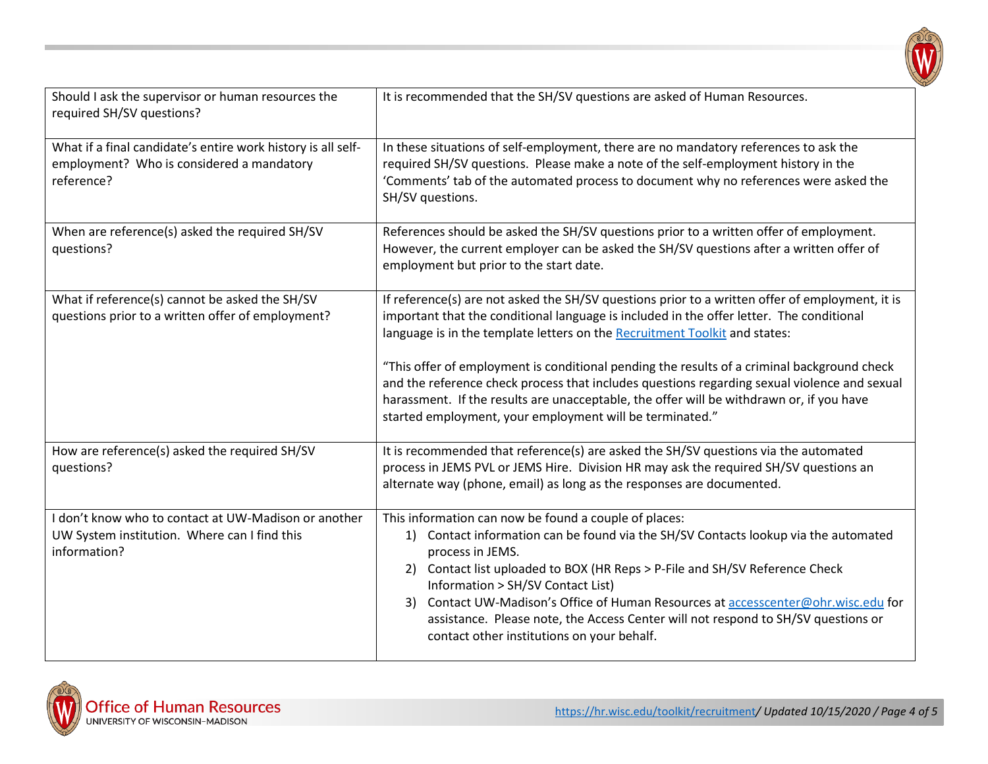

| Should I ask the supervisor or human resources the<br>required SH/SV questions?                                         | It is recommended that the SH/SV questions are asked of Human Resources.                                                                                                                                                                                                                                                                                                                                                                                                                                                                                                                                                         |
|-------------------------------------------------------------------------------------------------------------------------|----------------------------------------------------------------------------------------------------------------------------------------------------------------------------------------------------------------------------------------------------------------------------------------------------------------------------------------------------------------------------------------------------------------------------------------------------------------------------------------------------------------------------------------------------------------------------------------------------------------------------------|
| What if a final candidate's entire work history is all self-<br>employment? Who is considered a mandatory<br>reference? | In these situations of self-employment, there are no mandatory references to ask the<br>required SH/SV questions. Please make a note of the self-employment history in the<br>'Comments' tab of the automated process to document why no references were asked the<br>SH/SV questions.                                                                                                                                                                                                                                                                                                                                           |
| When are reference(s) asked the required SH/SV<br>questions?                                                            | References should be asked the SH/SV questions prior to a written offer of employment.<br>However, the current employer can be asked the SH/SV questions after a written offer of<br>employment but prior to the start date.                                                                                                                                                                                                                                                                                                                                                                                                     |
| What if reference(s) cannot be asked the SH/SV<br>questions prior to a written offer of employment?                     | If reference(s) are not asked the SH/SV questions prior to a written offer of employment, it is<br>important that the conditional language is included in the offer letter. The conditional<br>language is in the template letters on the Recruitment Toolkit and states:<br>"This offer of employment is conditional pending the results of a criminal background check<br>and the reference check process that includes questions regarding sexual violence and sexual<br>harassment. If the results are unacceptable, the offer will be withdrawn or, if you have<br>started employment, your employment will be terminated." |
| How are reference(s) asked the required SH/SV<br>questions?                                                             | It is recommended that reference(s) are asked the SH/SV questions via the automated<br>process in JEMS PVL or JEMS Hire. Division HR may ask the required SH/SV questions an<br>alternate way (phone, email) as long as the responses are documented.                                                                                                                                                                                                                                                                                                                                                                            |
| I don't know who to contact at UW-Madison or another<br>UW System institution. Where can I find this<br>information?    | This information can now be found a couple of places:<br>1) Contact information can be found via the SH/SV Contacts lookup via the automated<br>process in JEMS.<br>2) Contact list uploaded to BOX (HR Reps > P-File and SH/SV Reference Check<br>Information > SH/SV Contact List)<br>3) Contact UW-Madison's Office of Human Resources at accesscenter@ohr.wisc.edu for<br>assistance. Please note, the Access Center will not respond to SH/SV questions or<br>contact other institutions on your behalf.                                                                                                                    |